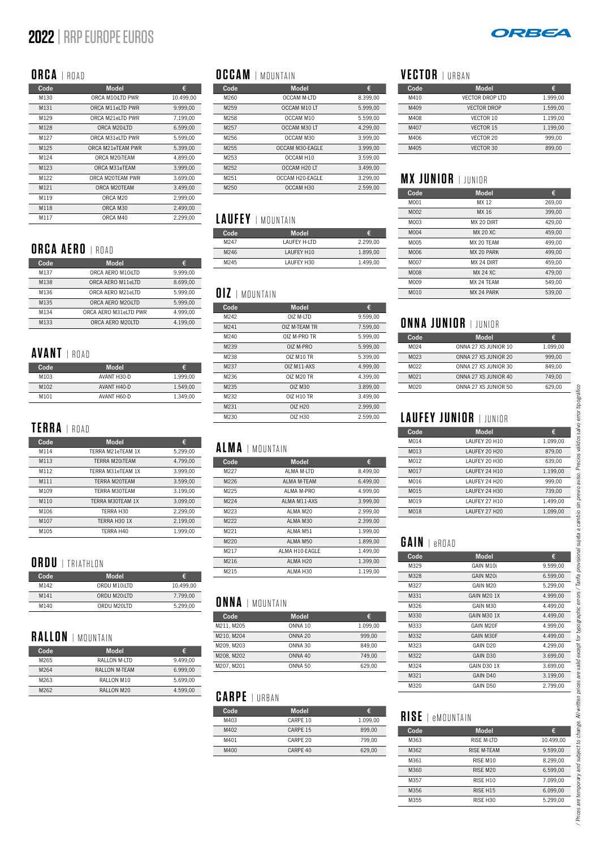# **2022** | RRP EUROPE EUROS



## **ORCA** | ROAD

| Code | <b>Model</b>         | €         |
|------|----------------------|-----------|
| M130 | ORCA M10iLTD PWR     | 10.499,00 |
| M131 | ORCA M11eLTD PWR     | 9.999.00  |
| M129 | ORCA M21eLTD PWR     | 7.199,00  |
| M128 | ORCA M20iLTD         | 6.599.00  |
| M127 | ORCA M31eLTD PWR     | 5.599,00  |
| M125 | ORCA M21eTFAM PWR    | 5.399,00  |
| M124 | ORCA M20ITFAM        | 4.899,00  |
| M123 | ORCA M31eTEAM        | 3.999,00  |
| M122 | ORCA M20TFAM PWR     | 3.699,00  |
| M121 | ORCA M20TFAM         | 3.499,00  |
| M119 | ORCA M <sub>20</sub> | 2.999,00  |
| M118 | ORCA M30             | 2.499.00  |
| M117 | ORCA M40             | 2.299,00  |

#### **ORCA AERO** | ROAD

| Code | <b>Model</b>          | €        |
|------|-----------------------|----------|
| M137 | ORCA AFRO M10iLTD     | 9.999.00 |
| M138 | ORCA AFRO M11eLTD     | 8.699.00 |
| M136 | ORCA AERO M21eLTD     | 5.999.00 |
| M135 | ORCA AFRO M20iLTD     | 5.999.00 |
| M134 | ORCA AFRO M31eLTD PWR | 4.999.00 |
| M133 | ORCA AERO M20LTD      | 4.199.00 |

## **AVANT** | ROAD

| Code | <b>Model</b> | €        |
|------|--------------|----------|
| M103 | AVANT H30-D  | 1.999.00 |
| M102 | AVANT H40-D  | 1.549.00 |
| M101 | AVANT H60-D  | 1.349.00 |
|      |              |          |

## **TERRA** | ROAD

| Code | <b>Model</b>      | €        |
|------|-------------------|----------|
| M114 | TFRRA M21eTFAM 1X | 5.299.00 |
| M113 | TERRA M20ITEAM    | 4.799.00 |
| M112 | TERRA M31eTFAM 1X | 3.999.00 |
| M111 | TERRA M20TEAM     | 3.599.00 |
| M109 | TERRA M30TFAM     | 3.199.00 |
| M110 | TERRA M30TFAM 1X  | 3.099.00 |
| M106 | TFRRA H30         | 2.299.00 |
| M107 | TFRRA H30 1X      | 2.199.00 |
| M105 | TFRRA H40         | 1.999.00 |

#### **ORDU** | TRIATHLON

| <b>Code</b> | <b>Model</b> | €         |
|-------------|--------------|-----------|
| M142        | ORDU M10iLTD | 10.499.00 |
| M141        | ORDU M20iLTD | 7.799.00  |
| M140        | ORDU M20LTD  | 5.299.00  |

#### **RALLON** | MOUNTAIN

| Code | Model                | €        |
|------|----------------------|----------|
| M265 | RALLON M-LTD         | 9.499.00 |
| M264 | <b>RALLON M-TFAM</b> | 6.999.00 |
| M263 | RALLON M10           | 5.699.00 |
| M262 | RALLON M20           | 4.599.00 |

## **OCCAM** | MOUNTAIN

| Code             | <b>Model</b>       | €        |
|------------------|--------------------|----------|
| M260             | <b>OCCAM M-LTD</b> | 8.399.00 |
| M <sub>259</sub> | OCCAM M10 IT       | 5.999.00 |
| M258             | OCCAM M10          | 5.599.00 |
| M257             | OCCAM M30 IT       | 4.299.00 |
| M256             | OCCAM M30          | 3.999.00 |
| M255             | OCCAM M30-EAGLE    | 3.999.00 |
| M253             | OCCAM H10          | 3.599.00 |
| M <sub>252</sub> | OCCAM H20 IT       | 3.499.00 |
| M251             | OCCAM H20-FAGLE    | 3.299.00 |
| M250             | OCCAM H30          | 2.599,00 |

#### **LAUFEY** | MOUNTAIN

| Code | <b>Model</b>        | G.       |
|------|---------------------|----------|
| M247 | <b>LAUFFY H-LTD</b> | 2.299.00 |
| M246 | LAUFFY H10          | 1.899.00 |
| M245 | LAUFFY H30          | 1.499.00 |

#### **OIZ** | MOUNTAIN

| Code | <b>Model</b>        | €        |
|------|---------------------|----------|
| M242 | OIZ M-ITD           | 9.599,00 |
| M241 | OIZ M-TFAM TR       | 7.599.00 |
| M240 | OIZ M-PRO TR        | 5.999.00 |
| M239 | OIZ M-PRO           | 5.999.00 |
| M238 | OIZ M10 TR          | 5.399.00 |
| M237 | OIZ M11-AXS         | 4.999.00 |
| M236 | OIZ M20 TR          | 4.399.00 |
| M235 | OIZ M30             | 3.899,00 |
| M232 | 017 H10 TR          | 3.499,00 |
| M231 | OI7 H <sub>20</sub> | 2.999.00 |
| M230 | OIZ H30             | 2.599.00 |

#### **ALMA** | MOUNTAIN

| Code | <b>Model</b>          | €        |
|------|-----------------------|----------|
| M227 | AI MA M-ITD           | 8.499,00 |
| M226 | AI MA M-TFAM          | 6.499.00 |
| M225 | AI MA M-PRO           | 4.999.00 |
| M224 | AI MA M11-AXS         | 3.999.00 |
| M223 | AI MA M20             | 2.999.00 |
| M222 | AI MA M30             | 2.399.00 |
| M221 | AI MA M51             | 1.999.00 |
| M220 | AI MA M50             | 1.899.00 |
| M217 | AI MA H10-FAGI F      | 1.499.00 |
| M216 | AI MA H <sub>20</sub> | 1.399,00 |
| M215 | AI MA H30             | 1.199.00 |
|      |                       |          |

#### **ONNA** | MOUNTAIN

| Code       | <b>Model</b> | €        |
|------------|--------------|----------|
| M211, M205 | ONNA 10      | 1.099.00 |
| M210, M204 | ONNA 20      | 999.00   |
| M209, M203 | ONNA 30      | 849.00   |
| M208, M202 | ONNA 40      | 749.00   |
| M207, M201 | ONNA 50      | 629.00   |

## **CARPE** | URBAN

| Code | <b>Model</b>        | €        |
|------|---------------------|----------|
| M403 | CARPF 10            | 1.099.00 |
| M402 | CARPF 15            | 899.00   |
| M401 | CARPF <sub>20</sub> | 799.00   |
| M400 | CARPF <sub>40</sub> | 629.00   |

## **VECTOR** | URBAN

| Code | <b>Model</b>       | €        |
|------|--------------------|----------|
| M410 | VECTOR DROP ITD    | 1.999.00 |
| M409 | <b>VECTOR DROP</b> | 1.599.00 |
| M408 | VECTOR 10          | 1.199.00 |
| M407 | VECTOR 15          | 1.199.00 |
| M406 | VECTOR 20          | 999.00   |
| M405 | VECTOR 30          | 899.00   |

## **MX JUNIOR** | JUNIOR

| Code | <b>Model</b>    | €      |
|------|-----------------|--------|
| M001 | MX 12           | 269,00 |
| M002 | MX 16           | 399,00 |
| M003 | MX 20 DIRT      | 429.00 |
| M004 | <b>MX 20 XC</b> | 459.00 |
| M005 | MX 20 TFAM      | 499.00 |
| M006 | MX 20 PARK      | 499,00 |
| M007 | MX 24 DIRT      | 459,00 |
| M008 | <b>MX 24 XC</b> | 479.00 |
| M009 | MX 24 TFAM      | 549.00 |
| M010 | MX 24 PARK      | 539,00 |

## **ONNA JUNIOR** | JUNIOR

| Code             | <b>Model</b>         | €        |
|------------------|----------------------|----------|
| M <sub>024</sub> | ONNA 27 XS JUNIOR 10 | 1.099.00 |
| M <sub>023</sub> | ONNA 27 XS JUNIOR 20 | 999.00   |
| M022             | ONNA 27 XS JUNIOR 30 | 849.00   |
| M <sub>021</sub> | ONNA 27 XS JUNIOR 40 | 749.00   |
| M020             | ONNA 27 XS JUNIOR 50 | 629.00   |
|                  |                      |          |

## **LAUFEY JUNIOR** | JUNIOR

| Code | <b>Model</b>  | €        |
|------|---------------|----------|
| M014 | LAUFEY 20 H10 | 1.099,00 |
| M013 | LAUFEY 20 H20 | 879.00   |
| M012 | LAUFEY 20 H30 | 639,00   |
| M017 | LAUFEY 24 H10 | 1.199,00 |
| M016 | LAUFEY 24 H20 | 999,00   |
| M015 | LAUFFY 24 H30 | 739.00   |
| M019 | LAUFFY 27 H10 | 1.499.00 |
| M018 | LAUFFY 27 H20 | 1.099.00 |

#### **GAIN** | eROAD

| Code | <b>Model</b>            | €        |
|------|-------------------------|----------|
| M329 | GAIN M10i               | 9.599,00 |
| M328 | GAIN M20i               | 6.599,00 |
| M327 | GAIN M <sub>20</sub>    | 5.299,00 |
| M331 | GAIN M <sub>20</sub> 1X | 4.999,00 |
| M326 | GAIN M30                | 4.499,00 |
| M330 | GAIN M30 1X             | 4.499,00 |
| M333 | GAIN M20F               | 4.999,00 |
| M332 | GAIN M30F               | 4.499,00 |
| M323 | GAIN D <sub>20</sub>    | 4.299,00 |
| M322 | GAIN D <sub>30</sub>    | 3.699,00 |
| M324 | GAIN D30 1X             | 3.699,00 |
| M321 | GAIN D40                | 3.199,00 |
| M320 | GAIN D50                | 2.799,00 |

#### **RISE** | eMOUNTAIN

| Code | <b>Model</b>         | €         |
|------|----------------------|-----------|
| M363 | RISE M-ITD           | 10.499.00 |
| M362 | RISF M-TFAM          | 9.599.00  |
| M361 | RISF M10             | 8.299.00  |
| M360 | RISE M <sub>20</sub> | 6.599.00  |
| M357 | RISE <sub>H10</sub>  | 7.099.00  |
| M356 | RISE <sub>H15</sub>  | 6.099.00  |
| M355 | RISE H <sub>30</sub> | 5.299.00  |